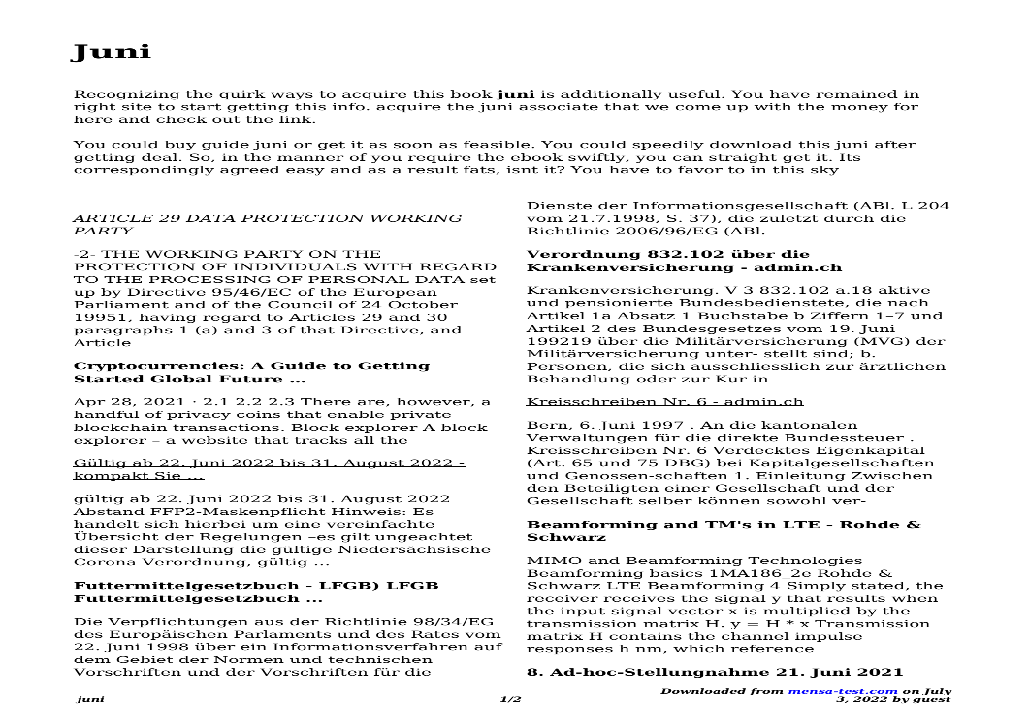Recognizing the quirk ways to acquire this book **juni** is additionally useful. You have remained in right site to start getting this info. acquire the juni associate that we come up with the money for here and check out the link.

You could buy guide juni or get it as soon as feasible. You could speedily download this juni after getting deal. So, in the manner of you require the ebook swiftly, you can straight get it. Its correspondingly agreed easy and as a result fats, isnt it? You have to favor to in this sky

## *ARTICLE 29 DATA PROTECTION WORKING PARTY*

-2- THE WORKING PARTY ON THE PROTECTION OF INDIVIDUALS WITH REGARD TO THE PROCESSING OF PERSONAL DATA set up by Directive 95/46/EC of the European Parliament and of the Council of 24 October 19951, having regard to Articles 29 and 30 paragraphs 1 (a) and 3 of that Directive, and Article

#### **Cryptocurrencies: A Guide to Getting Started Global Future …**

Apr 28, 2021 · 2.1 2.2 2.3 There are, however, a handful of privacy coins that enable private blockchain transactions. Block explorer A block explorer – a website that tracks all the

Gültig ab 22. Juni 2022 bis 31. August 2022 kompakt Sie …

gültig ab 22. Juni 2022 bis 31. August 2022 Abstand FFP2-Maskenpflicht Hinweis: Es handelt sich hierbei um eine vereinfachte Übersicht der Regelungen –es gilt ungeachtet dieser Darstellung die gültige Niedersächsische Corona-Verordnung, gültig …

# **Futtermittelgesetzbuch - LFGB) LFGB Futtermittelgesetzbuch ...**

Die Verpflichtungen aus der Richtlinie 98/34/EG des Europäischen Parlaments und des Rates vom 22. Juni 1998 über ein Informationsverfahren auf dem Gebiet der Normen und technischen Vorschriften und der Vorschriften für die

Dienste der Informationsgesellschaft (ABl. L 204 vom 21.7.1998, S. 37), die zuletzt durch die Richtlinie 2006/96/EG (ABl.

# **Verordnung 832.102 über die Krankenversicherung - admin.ch**

Krankenversicherung. V 3 832.102 a.18 aktive und pensionierte Bundesbedienstete, die nach Artikel 1a Absatz 1 Buchstabe b Ziffern 1–7 und Artikel 2 des Bundesgesetzes vom 19. Juni 199219 über die Militärversicherung (MVG) der Militärversicherung unter- stellt sind; b. Personen, die sich ausschliesslich zur ärztlichen Behandlung oder zur Kur in

#### Kreisschreiben Nr. 6 - admin.ch

Bern, 6. Juni 1997 . An die kantonalen Verwaltungen für die direkte Bundessteuer . Kreisschreiben Nr. 6 Verdecktes Eigenkapital (Art. 65 und 75 DBG) bei Kapitalgesellschaften und Genossen-schaften 1. Einleitung Zwischen den Beteiligten einer Gesellschaft und der Gesellschaft selber können sowohl ver-

#### **Beamforming and TM's in LTE - Rohde & Schwarz**

MIMO and Beamforming Technologies Beamforming basics 1MA186\_2e Rohde & Schwarz LTE Beamforming 4 Simply stated, the receiver receives the signal y that results when the input signal vector x is multiplied by the transmission matrix H.  $y = H * x$  Transmission matrix H contains the channel impulse responses h nm, which reference

# **8. Ad-hoc-Stellungnahme 21. Juni 2021**